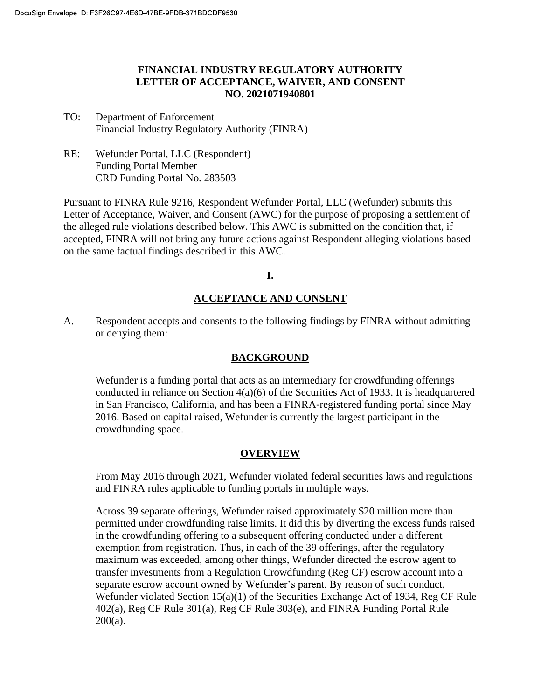#### **FINANCIAL INDUSTRY REGULATORY AUTHORITY LETTER OF ACCEPTANCE, WAIVER, AND CONSENT NO. 2021071940801**

- TO: Department of Enforcement Financial Industry Regulatory Authority (FINRA)
- RE: Wefunder Portal, LLC (Respondent) Funding Portal Member CRD Funding Portal No. 283503

Pursuant to FINRA Rule 9216, Respondent Wefunder Portal, LLC (Wefunder) submits this Letter of Acceptance, Waiver, and Consent (AWC) for the purpose of proposing a settlement of the alleged rule violations described below. This AWC is submitted on the condition that, if accepted, FINRA will not bring any future actions against Respondent alleging violations based on the same factual findings described in this AWC.

**I.** 

## **ACCEPTANCE AND CONSENT**

A. Respondent accepts and consents to the following findings by FINRA without admitting or denying them:

### **BACKGROUND**

Wefunder is a funding portal that acts as an intermediary for crowdfunding offerings conducted in reliance on Section 4(a)(6) of the Securities Act of 1933. It is headquartered in San Francisco, California, and has been a FINRA-registered funding portal since May 2016. Based on capital raised, Wefunder is currently the largest participant in the crowdfunding space.

### **OVERVIEW**

From May 2016 through 2021, Wefunder violated federal securities laws and regulations and FINRA rules applicable to funding portals in multiple ways.

Across 39 separate offerings, Wefunder raised approximately \$20 million more than permitted under crowdfunding raise limits. It did this by diverting the excess funds raised in the crowdfunding offering to a subsequent offering conducted under a different exemption from registration. Thus, in each of the 39 offerings, after the regulatory maximum was exceeded, among other things, Wefunder directed the escrow agent to transfer investments from a Regulation Crowdfunding (Reg CF) escrow account into a separate escrow account owned by Wefunder's parent. By reason of such conduct, Wefunder violated Section 15(a)(1) of the Securities Exchange Act of 1934, Reg CF Rule 402(a), Reg CF Rule 301(a), Reg CF Rule 303(e), and FINRA Funding Portal Rule 200(a).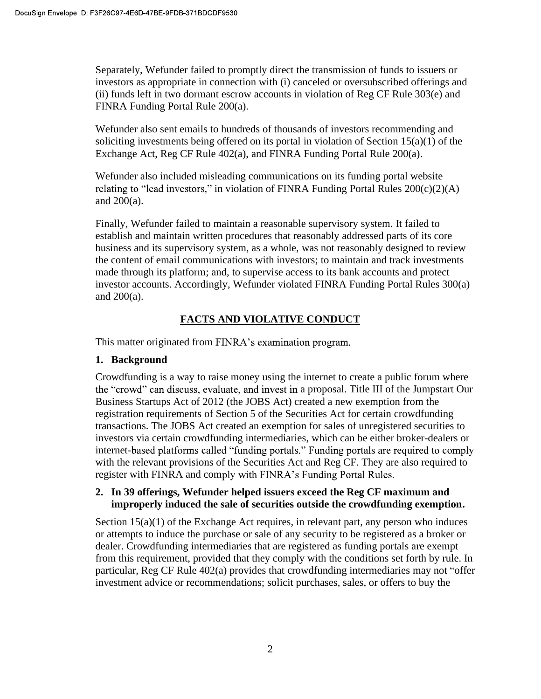Separately, Wefunder failed to promptly direct the transmission of funds to issuers or investors as appropriate in connection with (i) canceled or oversubscribed offerings and (ii) funds left in two dormant escrow accounts in violation of Reg CF Rule 303(e) and FINRA Funding Portal Rule 200(a).

Wefunder also sent emails to hundreds of thousands of investors recommending and soliciting investments being offered on its portal in violation of Section 15(a)(1) of the Exchange Act, Reg CF Rule 402(a), and FINRA Funding Portal Rule 200(a).

Wefunder also included misleading communications on its funding portal website relating to "lead investors," in violation of FINRA Funding Portal Rules  $200(c)(2)(A)$ and 200(a).

Finally, Wefunder failed to maintain a reasonable supervisory system. It failed to establish and maintain written procedures that reasonably addressed parts of its core business and its supervisory system, as a whole, was not reasonably designed to review the content of email communications with investors; to maintain and track investments made through its platform; and, to supervise access to its bank accounts and protect investor accounts. Accordingly, Wefunder violated FINRA Funding Portal Rules 300(a) and 200(a).

# **FACTS AND VIOLATIVE CONDUCT**

This matter originated from FINRA's examination program.

### **1. Background**

Crowdfunding is a way to raise money using the internet to create a public forum where the "crowd" can discuss, evaluate, and invest in a proposal. Title III of the Jumpstart Our Business Startups Act of 2012 (the JOBS Act) created a new exemption from the registration requirements of Section 5 of the Securities Act for certain crowdfunding transactions. The JOBS Act created an exemption for sales of unregistered securities to investors via certain crowdfunding intermediaries, which can be either broker-dealers or internet-based platforms called "funding portals." Funding portals are required to comply with the relevant provisions of the Securities Act and Reg CF. They are also required to register with FINRA and comply with FINRA's Funding Portal Rules.

#### **2. In 39 offerings, Wefunder helped issuers exceed the Reg CF maximum and improperly induced the sale of securities outside the crowdfunding exemption.**

Section  $15(a)(1)$  of the Exchange Act requires, in relevant part, any person who induces or attempts to induce the purchase or sale of any security to be registered as a broker or dealer. Crowdfunding intermediaries that are registered as funding portals are exempt from this requirement, provided that they comply with the conditions set forth by rule. In particular, Reg CF Rule 402(a) provides that crowdfunding intermediaries may not "offer investment advice or recommendations; solicit purchases, sales, or offers to buy the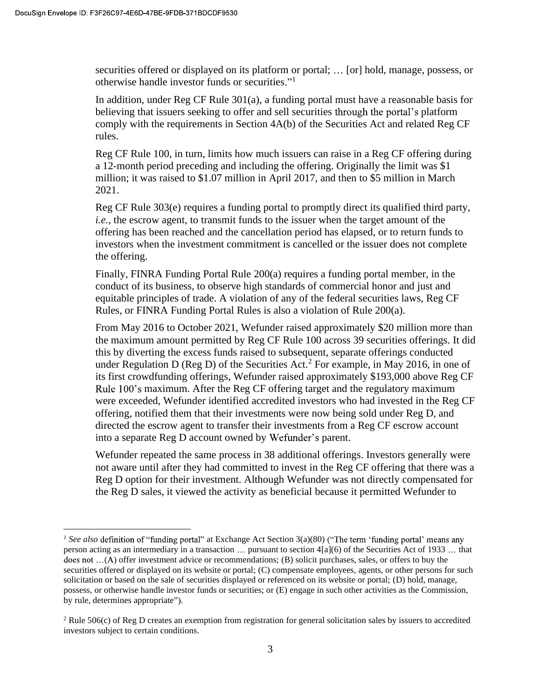securities offered or displayed on its platform or portal; ... [or] hold, manage, possess, or otherwise handle investor funds or securities."<sup>1</sup>

In addition, under Reg CF Rule 301(a), a funding portal must have a reasonable basis for believing that issuers seeking to offer and sell securities through the portal's platform comply with the requirements in Section 4A(b) of the Securities Act and related Reg CF rules.

Reg CF Rule 100, in turn, limits how much issuers can raise in a Reg CF offering during a 12-month period preceding and including the offering. Originally the limit was \$1 million; it was raised to \$1.07 million in April 2017, and then to \$5 million in March 2021.

Reg CF Rule 303(e) requires a funding portal to promptly direct its qualified third party, *i.e.*, the escrow agent, to transmit funds to the issuer when the target amount of the offering has been reached and the cancellation period has elapsed, or to return funds to investors when the investment commitment is cancelled or the issuer does not complete the offering.

Finally, FINRA Funding Portal Rule 200(a) requires a funding portal member, in the conduct of its business, to observe high standards of commercial honor and just and equitable principles of trade. A violation of any of the federal securities laws, Reg CF Rules, or FINRA Funding Portal Rules is also a violation of Rule 200(a).

From May 2016 to October 2021, Wefunder raised approximately \$20 million more than the maximum amount permitted by Reg CF Rule 100 across 39 securities offerings. It did this by diverting the excess funds raised to subsequent, separate offerings conducted under Regulation D (Reg D) of the Securities Act.<sup>2</sup> For example, in May 2016, in one of its first crowdfunding offerings, Wefunder raised approximately \$193,000 above Reg CF Rule 100's maximum. After the Reg CF offering target and the regulatory maximum were exceeded, Wefunder identified accredited investors who had invested in the Reg CF offering, notified them that their investments were now being sold under Reg D, and directed the escrow agent to transfer their investments from a Reg CF escrow account into a separate Reg D account owned by Wefunder's parent.

Wefunder repeated the same process in 38 additional offerings. Investors generally were not aware until after they had committed to invest in the Reg CF offering that there was a Reg D option for their investment. Although Wefunder was not directly compensated for the Reg D sales, it viewed the activity as beneficial because it permitted Wefunder to

<sup>&</sup>lt;sup>1</sup> See also definition of "funding portal" at Exchange Act Section  $3(a)(80)$ person acting as an intermediary in a transaction  $\ldots$  pursuant to section  $4[a](6)$  of the Securities Act of 1933  $\ldots$  that does not  $\dots(A)$  offer investment advice or recommendations; (B) solicit purchases, sales, or offers to buy the securities offered or displayed on its website or portal; (C) compensate employees, agents, or other persons for such solicitation or based on the sale of securities displayed or referenced on its website or portal; (D) hold, manage, possess, or otherwise handle investor funds or securities; or (E) engage in such other activities as the Commission, by rule, determines appropriate").

 $2$  Rule 506(c) of Reg D creates an exemption from registration for general solicitation sales by issuers to accredited investors subject to certain conditions.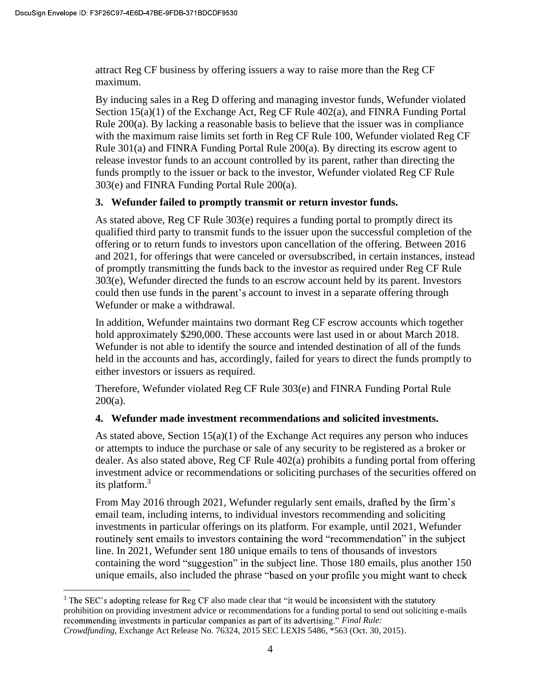attract Reg CF business by offering issuers a way to raise more than the Reg CF maximum.

By inducing sales in a Reg D offering and managing investor funds, Wefunder violated Section 15(a)(1) of the Exchange Act, Reg CF Rule 402(a), and FINRA Funding Portal Rule 200(a). By lacking a reasonable basis to believe that the issuer was in compliance with the maximum raise limits set forth in Reg CF Rule 100, Wefunder violated Reg CF Rule  $301(a)$  and FINRA Funding Portal Rule  $200(a)$ . By directing its escrow agent to release investor funds to an account controlled by its parent, rather than directing the funds promptly to the issuer or back to the investor, Wefunder violated Reg CF Rule 303(e) and FINRA Funding Portal Rule 200(a).

### **3. Wefunder failed to promptly transmit or return investor funds.**

As stated above, Reg CF Rule 303(e) requires a funding portal to promptly direct its qualified third party to transmit funds to the issuer upon the successful completion of the offering or to return funds to investors upon cancellation of the offering. Between 2016 and 2021, for offerings that were canceled or oversubscribed, in certain instances, instead of promptly transmitting the funds back to the investor as required under Reg CF Rule 303(e), Wefunder directed the funds to an escrow account held by its parent. Investors could then use funds in the parent's account to invest in a separate offering through Wefunder or make a withdrawal.

In addition, Wefunder maintains two dormant Reg CF escrow accounts which together hold approximately \$290,000. These accounts were last used in or about March 2018. Wefunder is not able to identify the source and intended destination of all of the funds held in the accounts and has, accordingly, failed for years to direct the funds promptly to either investors or issuers as required.

Therefore, Wefunder violated Reg CF Rule 303(e) and FINRA Funding Portal Rule  $200(a)$ .

### **4. Wefunder made investment recommendations and solicited investments.**

As stated above, Section 15(a)(1) of the Exchange Act requires any person who induces or attempts to induce the purchase or sale of any security to be registered as a broker or dealer. As also stated above, Reg CF Rule 402(a) prohibits a funding portal from offering investment advice or recommendations or soliciting purchases of the securities offered on its platform.<sup>3</sup>

From May 2016 through 2021, Wefunder regularly sent emails, drafted by the firm's email team, including interns, to individual investors recommending and soliciting investments in particular offerings on its platform. For example, until 2021, Wefunder routinely sent emails to investors containing the word "recommendation" in the subject line. In 2021, Wefunder sent 180 unique emails to tens of thousands of investors containing the word "suggestion" in the subject line. Those 180 emails, plus another 150 unique emails, also included the phrase "based on your profile you might want to check

<sup>&</sup>lt;sup>3</sup> The SEC's adopting release for Reg CF also made clear that prohibition on providing investment advice or recommendations for a funding portal to send out soliciting e-mails recommending investments in particular companies as part of its advertising." Final Rule: *Crowdfunding*, Exchange Act Release No. 76324, 2015 SEC LEXIS 5486, \*563 (Oct. 30, 2015).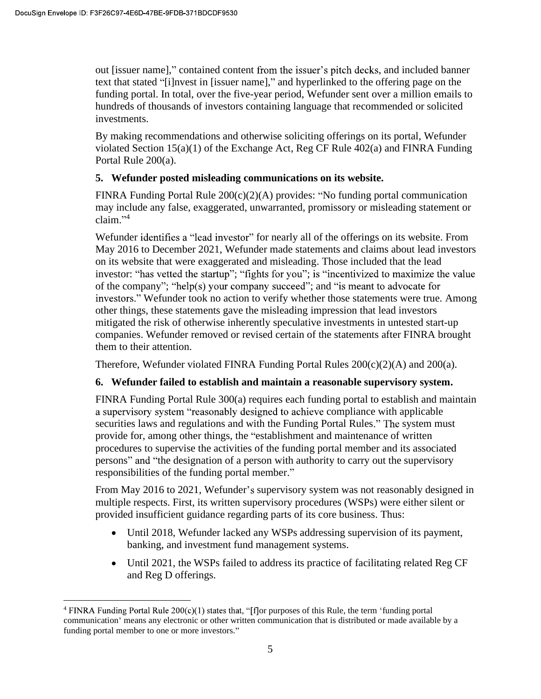out [issuer name]," contained content from the issuer's pitch decks, and included banner text that stated "[i]nvest in [issuer name]," and hyperlinked to the offering page on the funding portal. In total, over the five-year period, Wefunder sent over a million emails to hundreds of thousands of investors containing language that recommended or solicited investments.

By making recommendations and otherwise soliciting offerings on its portal, Wefunder violated Section 15(a)(1) of the Exchange Act, Reg CF Rule 402(a) and FINRA Funding Portal Rule 200(a).

## **5. Wefunder posted misleading communications on its website.**

FINRA Funding Portal Rule  $200(c)(2)(A)$  provides: "No funding portal communication may include any false, exaggerated, unwarranted, promissory or misleading statement or  $claim.$ <sup>34</sup>

Wefunder identifies a "lead investor" for nearly all of the offerings on its website. From May 2016 to December 2021, Wefunder made statements and claims about lead investors on its website that were exaggerated and misleading. Those included that the lead investor: "has vetted the startup"; "fights for you"; is "incentivized to maximize the value of the company"; "help(s) your company succeed"; and "is meant to advocate for investors." Wefunder took no action to verify whether those statements were true. Among other things, these statements gave the misleading impression that lead investors mitigated the risk of otherwise inherently speculative investments in untested start-up companies. Wefunder removed or revised certain of the statements after FINRA brought them to their attention.

Therefore, Wefunder violated FINRA Funding Portal Rules  $200(c)(2)(A)$  and  $200(a)$ .

# **6. Wefunder failed to establish and maintain a reasonable supervisory system.**

FINRA Funding Portal Rule 300(a) requires each funding portal to establish and maintain a supervisory system "reasonably designed to achieve compliance with applicable securities laws and regulations and with the Funding Portal Rules." The system must provide for, among other things, the "establishment and maintenance of written procedures to supervise the activities of the funding portal member and its associated persons" and "the designation of a person with authority to carry out the supervisory responsibilities of the funding portal member

From May 2016 to 2021, Wefunder's supervisory system was not reasonably designed in multiple respects. First, its written supervisory procedures (WSPs) were either silent or provided insufficient guidance regarding parts of its core business. Thus:

- Until 2018, Wefunder lacked any WSPs addressing supervision of its payment, banking, and investment fund management systems.
- Until 2021, the WSPs failed to address its practice of facilitating related Reg CF and Reg D offerings.

<sup>&</sup>lt;sup>4</sup> FINRA Funding Portal Rule  $200(c)(1)$  states that, "[f] or purposes of this Rule, the term 'funding portal communication means any electronic or other written communication that is distributed or made available by a funding portal member to one or more investors."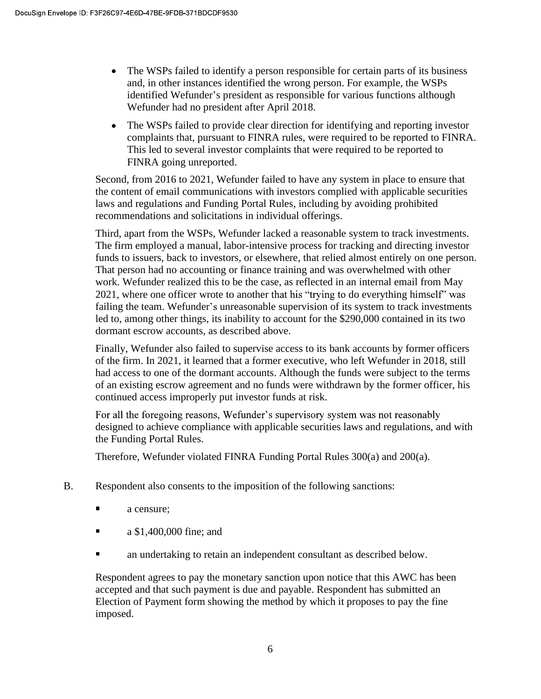- The WSPs failed to identify a person responsible for certain parts of its business  $\bullet$ and, in other instances identified the wrong person. For example, the WSPs identified Wefunder's president as responsible for various functions although Wefunder had no president after April 2018.
- The WSPs failed to provide clear direction for identifying and reporting investor complaints that, pursuant to FINRA rules, were required to be reported to FINRA. This led to several investor complaints that were required to be reported to FINRA going unreported.

Second, from 2016 to 2021, Wefunder failed to have any system in place to ensure that the content of email communications with investors complied with applicable securities laws and regulations and Funding Portal Rules, including by avoiding prohibited recommendations and solicitations in individual offerings.

Third, apart from the WSPs, Wefunder lacked a reasonable system to track investments. The firm employed a manual, labor-intensive process for tracking and directing investor funds to issuers, back to investors, or elsewhere, that relied almost entirely on one person. That person had no accounting or finance training and was overwhelmed with other work. Wefunder realized this to be the case, as reflected in an internal email from May 2021, where one officer wrote to another that his "trying to do everything himself" was failing the team. Wefunder's unreasonable supervision of its system to track investments led to, among other things, its inability to account for the \$290,000 contained in its two dormant escrow accounts, as described above.

Finally, Wefunder also failed to supervise access to its bank accounts by former officers of the firm. In 2021, it learned that a former executive, who left Wefunder in 2018, still had access to one of the dormant accounts. Although the funds were subject to the terms of an existing escrow agreement and no funds were withdrawn by the former officer, his continued access improperly put investor funds at risk.

For all the foregoing reasons, Wefunder's supervisory system was not reasonably designed to achieve compliance with applicable securities laws and regulations, and with the Funding Portal Rules.

Therefore, Wefunder violated FINRA Funding Portal Rules 300(a) and 200(a).

- B. Respondent also consents to the imposition of the following sanctions:
	- $\blacksquare$ a censure;
	- a \$1,400,000 fine; and  $\blacksquare$
	- an undertaking to retain an independent consultant as described below.

Respondent agrees to pay the monetary sanction upon notice that this AWC has been accepted and that such payment is due and payable. Respondent has submitted an Election of Payment form showing the method by which it proposes to pay the fine imposed.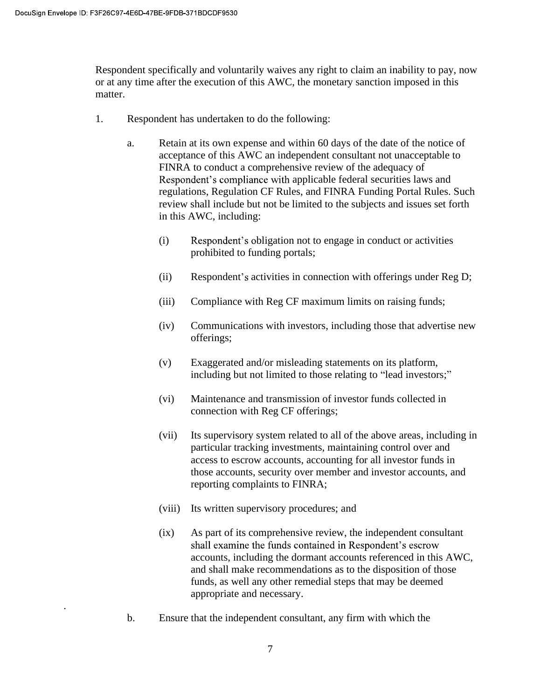.

Respondent specifically and voluntarily waives any right to claim an inability to pay, now or at any time after the execution of this AWC, the monetary sanction imposed in this matter.

- 1. Respondent has undertaken to do the following:
	- a. Retain at its own expense and within 60 days of the date of the notice of acceptance of this AWC an independent consultant not unacceptable to FINRA to conduct a comprehensive review of the adequacy of Respondent's compliance with applicable federal securities laws and regulations, Regulation CF Rules, and FINRA Funding Portal Rules. Such review shall include but not be limited to the subjects and issues set forth in this AWC, including:
		- (i) Respondent's obligation not to engage in conduct or activities prohibited to funding portals;
		- (ii) Respondent's activities in connection with offerings under Reg D;
		- (iii) Compliance with Reg CF maximum limits on raising funds;
		- (iv) Communications with investors, including those that advertise new offerings;
		- (v) Exaggerated and/or misleading statements on its platform, including but not limited to those relating to "lead investors;"
		- (vi) Maintenance and transmission of investor funds collected in connection with Reg CF offerings;
		- (vii) Its supervisory system related to all of the above areas, including in particular tracking investments, maintaining control over and access to escrow accounts, accounting for all investor funds in those accounts, security over member and investor accounts, and reporting complaints to FINRA;
		- (viii) Its written supervisory procedures; and
		- (ix) As part of its comprehensive review, the independent consultant shall examine the funds contained in Respondent's escrow accounts, including the dormant accounts referenced in this AWC, and shall make recommendations as to the disposition of those funds, as well any other remedial steps that may be deemed appropriate and necessary.
	- b. Ensure that the independent consultant, any firm with which the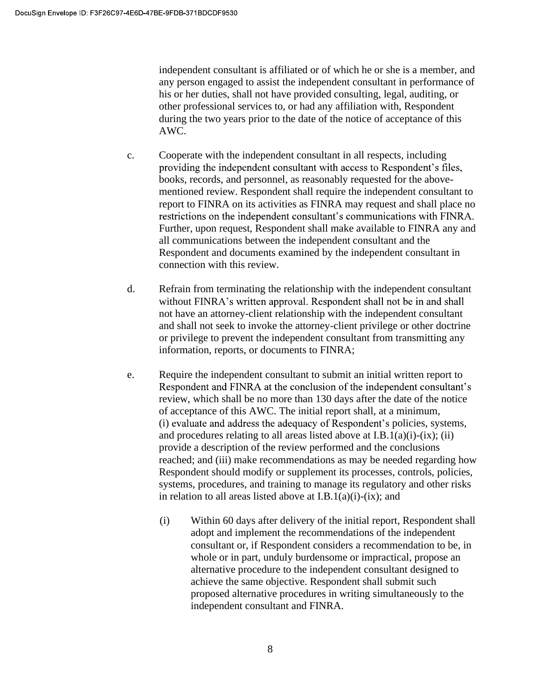independent consultant is affiliated or of which he or she is a member, and any person engaged to assist the independent consultant in performance of his or her duties, shall not have provided consulting, legal, auditing, or other professional services to, or had any affiliation with, Respondent during the two years prior to the date of the notice of acceptance of this AWC.

- c. Cooperate with the independent consultant in all respects, including providing the independent consultant with access to Respondent's files, books, records, and personnel, as reasonably requested for the abovementioned review. Respondent shall require the independent consultant to report to FINRA on its activities as FINRA may request and shall place no restrictions on the independent consultant's communications with FINRA. Further, upon request, Respondent shall make available to FINRA any and all communications between the independent consultant and the Respondent and documents examined by the independent consultant in connection with this review.
- d. Refrain from terminating the relationship with the independent consultant without FINRA's written approval. Respondent shall not be in and shall not have an attorney-client relationship with the independent consultant and shall not seek to invoke the attorney-client privilege or other doctrine or privilege to prevent the independent consultant from transmitting any information, reports, or documents to FINRA;
- e. Require the independent consultant to submit an initial written report to Respondent and FINRA at the conclusion of the independent consultant's review, which shall be no more than 130 days after the date of the notice of acceptance of this AWC. The initial report shall, at a minimum, (i) evaluate and address the adequacy of Respondent's policies, systems, and procedures relating to all areas listed above at  $I.B.1(a)(i)-(ix);$  (ii) provide a description of the review performed and the conclusions reached; and (iii) make recommendations as may be needed regarding how Respondent should modify or supplement its processes, controls, policies, systems, procedures, and training to manage its regulatory and other risks in relation to all areas listed above at I.B.1(a)(i)-(ix); and
	- (i) Within 60 days after delivery of the initial report, Respondent shall adopt and implement the recommendations of the independent consultant or, if Respondent considers a recommendation to be, in whole or in part, unduly burdensome or impractical, propose an alternative procedure to the independent consultant designed to achieve the same objective. Respondent shall submit such proposed alternative procedures in writing simultaneously to the independent consultant and FINRA.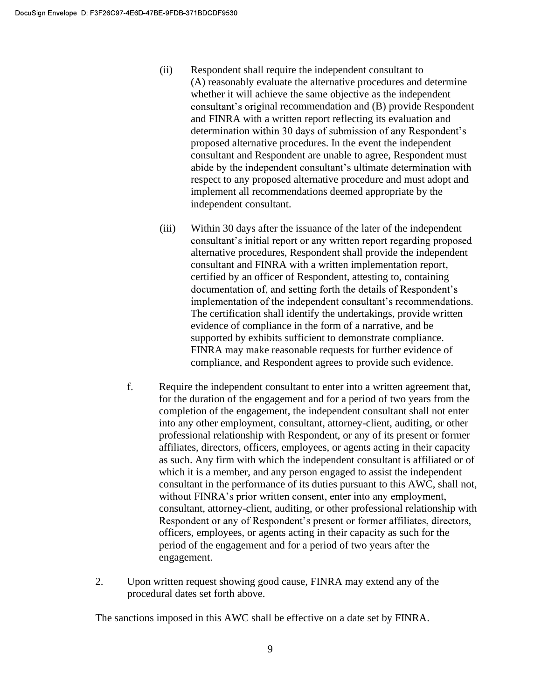- (ii) Respondent shall require the independent consultant to (A) reasonably evaluate the alternative procedures and determine whether it will achieve the same objective as the independent consultant's original recommendation and (B) provide Respondent and FINRA with a written report reflecting its evaluation and determination within 30 days of submission of any Respondent's proposed alternative procedures. In the event the independent consultant and Respondent are unable to agree, Respondent must abide by the independent consultant's ultimate determination with respect to any proposed alternative procedure and must adopt and implement all recommendations deemed appropriate by the independent consultant.
- (iii) Within 30 days after the issuance of the later of the independent consultant's initial report or any written report regarding proposed alternative procedures, Respondent shall provide the independent consultant and FINRA with a written implementation report, certified by an officer of Respondent, attesting to, containing documentation of, and setting forth the details of Respondent's implementation of the independent consultant's recommendations. The certification shall identify the undertakings, provide written evidence of compliance in the form of a narrative, and be supported by exhibits sufficient to demonstrate compliance. FINRA may make reasonable requests for further evidence of compliance, and Respondent agrees to provide such evidence.
- f. Require the independent consultant to enter into a written agreement that, for the duration of the engagement and for a period of two years from the completion of the engagement, the independent consultant shall not enter into any other employment, consultant, attorney-client, auditing, or other professional relationship with Respondent, or any of its present or former affiliates, directors, officers, employees, or agents acting in their capacity as such. Any firm with which the independent consultant is affiliated or of which it is a member, and any person engaged to assist the independent consultant in the performance of its duties pursuant to this AWC, shall not, without FINRA's prior written consent, enter into any employment, consultant, attorney-client, auditing, or other professional relationship with Respondent or any of Respondent's present or former affiliates, directors, officers, employees, or agents acting in their capacity as such for the period of the engagement and for a period of two years after the engagement.
- 2. Upon written request showing good cause, FINRA may extend any of the procedural dates set forth above.

The sanctions imposed in this AWC shall be effective on a date set by FINRA.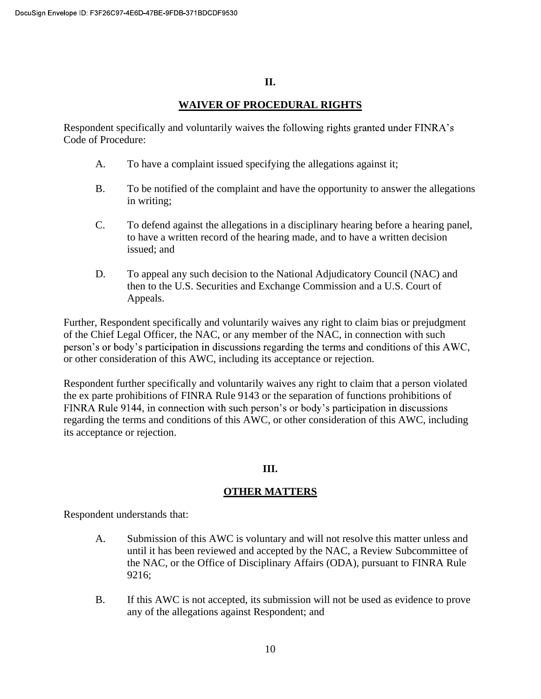#### **II.**

### **WAIVER OF PROCEDURAL RIGHTS**

Respondent specifically and voluntarily waives the following rights granted under FINRA's Code of Procedure:

- A. To have a complaint issued specifying the allegations against it;
- B. To be notified of the complaint and have the opportunity to answer the allegations in writing;
- C. To defend against the allegations in a disciplinary hearing before a hearing panel, to have a written record of the hearing made, and to have a written decision issued; and
- D. To appeal any such decision to the National Adjudicatory Council (NAC) and then to the U.S. Securities and Exchange Commission and a U.S. Court of Appeals.

Further, Respondent specifically and voluntarily waives any right to claim bias or prejudgment of the Chief Legal Officer, the NAC, or any member of the NAC, in connection with such person's or body's participation in discussions regarding the terms and conditions of this AWC, or other consideration of this AWC, including its acceptance or rejection.

Respondent further specifically and voluntarily waives any right to claim that a person violated the ex parte prohibitions of FINRA Rule 9143 or the separation of functions prohibitions of FINRA Rule 9144, in connection with such person's or body's participation in discussions regarding the terms and conditions of this AWC, or other consideration of this AWC, including its acceptance or rejection.

# **III.**

### **OTHER MATTERS**

Respondent understands that:

- A. Submission of this AWC is voluntary and will not resolve this matter unless and until it has been reviewed and accepted by the NAC, a Review Subcommittee of the NAC, or the Office of Disciplinary Affairs (ODA), pursuant to FINRA Rule 9216;
- B. If this AWC is not accepted, its submission will not be used as evidence to prove any of the allegations against Respondent; and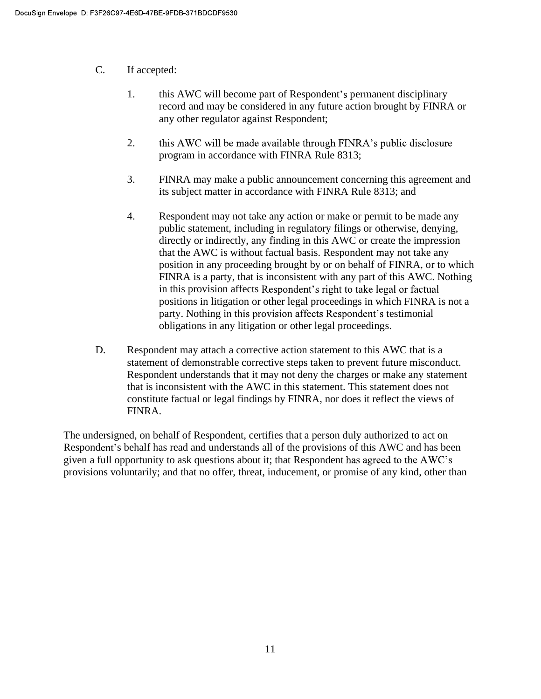- C. If accepted:
	- 1. this AWC will become part of Respondent's permanent disciplinary record and may be considered in any future action brought by FINRA or any other regulator against Respondent;
	- 2. this AWC will be made available through FINRA's public disclosure program in accordance with FINRA Rule 8313;
	- 3. FINRA may make a public announcement concerning this agreement and its subject matter in accordance with FINRA Rule 8313; and
	- 4. Respondent may not take any action or make or permit to be made any public statement, including in regulatory filings or otherwise, denying, directly or indirectly, any finding in this AWC or create the impression that the AWC is without factual basis. Respondent may not take any position in any proceeding brought by or on behalf of FINRA, or to which FINRA is a party, that is inconsistent with any part of this AWC. Nothing in this provision affects Respondent's right to take legal or factual positions in litigation or other legal proceedings in which FINRA is not a party. Nothing in this provision affects Respondent's testimonial obligations in any litigation or other legal proceedings.
- D. Respondent may attach a corrective action statement to this AWC that is a statement of demonstrable corrective steps taken to prevent future misconduct. Respondent understands that it may not deny the charges or make any statement that is inconsistent with the AWC in this statement. This statement does not constitute factual or legal findings by FINRA, nor does it reflect the views of FINRA.

The undersigned, on behalf of Respondent, certifies that a person duly authorized to act on Respondent's behalf has read and understands all of the provisions of this AWC and has been given a full opportunity to ask questions about it; that Respondent has agreed to the AWC's provisions voluntarily; and that no offer, threat, inducement, or promise of any kind, other than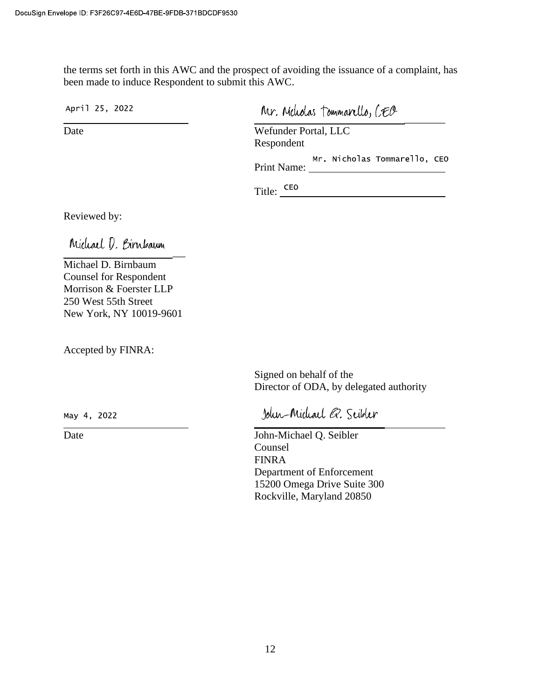the terms set forth in this AWC and the prospect of avoiding the issuance of a complaint, has been made to induce Respondent to submit this AWC.

April 25, 2022

Mr. Meliolas Tommarello, CEO

Date Wefunder Portal, LLC Respondent

Print Name:

<u> 1980 - Johann Barnett, fransk politik (</u>

Title:  $\frac{\text{ceo}}{\ }$ 

Reviewed by:

 $\overline{\phantom{a}}$ 

Michael D. Birnbaum Counsel for Respondent Morrison & Foerster LLP 250 West 55th Street New York, NY 10019-9601

Accepted by FINRA:

Signed on behalf of the Director of ODA, by delegated authority

May 4, 2022

John-Michael Q. Scibler

Date John-Michael Q. Seibler Counsel FINRA Department of Enforcement 15200 Omega Drive Suite 300 Rockville, Maryland 20850